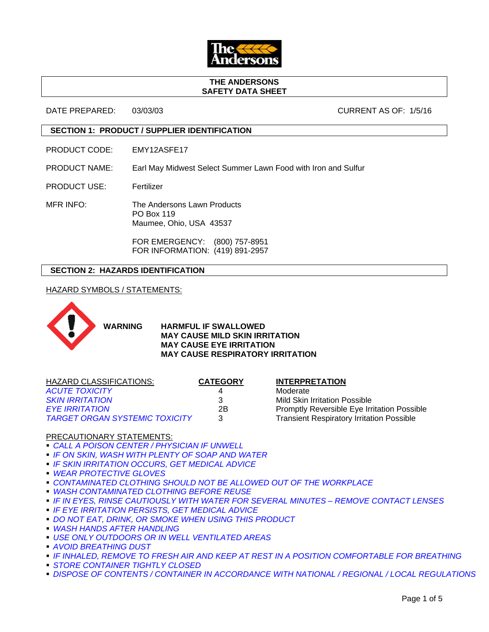

#### **THE ANDERSONS SAFETY DATA SHEET**

DATE PREPARED: 03/03/03 CURRENT AS OF: 1/5/16

## **SECTION 1: PRODUCT / SUPPLIER IDENTIFICATION**

PRODUCT CODE: EMY12ASFE17

PRODUCT NAME: Earl May Midwest Select Summer Lawn Food with Iron and Sulfur

PRODUCT USE: Fertilizer

MFR INFO: The Andersons Lawn Products PO Box 119 Maumee, Ohio, USA 43537

> FOR EMERGENCY: (800) 757-8951 FOR INFORMATION: (419) 891-2957

# **SECTION 2: HAZARDS IDENTIFICATION**

HAZARD SYMBOLS / STATEMENTS:



**WARNING HARMFUL IF SWALLOWED MAY CAUSE MILD SKIN IRRITATION MAY CAUSE EYE IRRITATION MAY CAUSE RESPIRATORY IRRITATION**

| HAZARD CLASSIFICATIONS:               | <b>CATEGORY</b> | <b>INTERPRETATION</b>                              |
|---------------------------------------|-----------------|----------------------------------------------------|
| <b>ACUTE TOXICITY</b>                 |                 | Moderate                                           |
| <b>SKIN IRRITATION</b>                | 3               | Mild Skin Irritation Possible                      |
| <b>EYE IRRITATION</b>                 | 2Β              | <b>Promptly Reversible Eye Irritation Possible</b> |
| <b>TARGET ORGAN SYSTEMIC TOXICITY</b> | 3               | <b>Transient Respiratory Irritation Possible</b>   |
|                                       |                 |                                                    |

### PRECAUTIONARY STATEMENTS:

- *CALL A POISON CENTER / PHYSICIAN IF UNWELL*
- *IF ON SKIN, WASH WITH PLENTY OF SOAP AND WATER*
- *IF SKIN IRRITATION OCCURS, GET MEDICAL ADVICE*
- *WEAR PROTECTIVE GLOVES*
- **CONTAMINATED CLOTHING SHOULD NOT BE ALLOWED OUT OF THE WORKPLACE**
- *WASH CONTAMINATED CLOTHING BEFORE REUSE*
- **IF IN EYES, RINSE CAUTIOUSLY WITH WATER FOR SEVERAL MINUTES REMOVE CONTACT LENSES**
- *IF EYE IRRITATION PERSISTS, GET MEDICAL ADVICE*
- *DO NOT EAT, DRINK, OR SMOKE WHEN USING THIS PRODUCT*
- *WASH HANDS AFTER HANDLING*
- *USE ONLY OUTDOORS OR IN WELL VENTILATED AREAS*
- *AVOID BREATHING DUST*
- *IF INHALED, REMOVE TO FRESH AIR AND KEEP AT REST IN A POSITION COMFORTABLE FOR BREATHING*
- *STORE CONTAINER TIGHTLY CLOSED*
- **DISPOSE OF CONTENTS / CONTAINER IN ACCORDANCE WITH NATIONAL / REGIONAL / LOCAL REGULATIONS**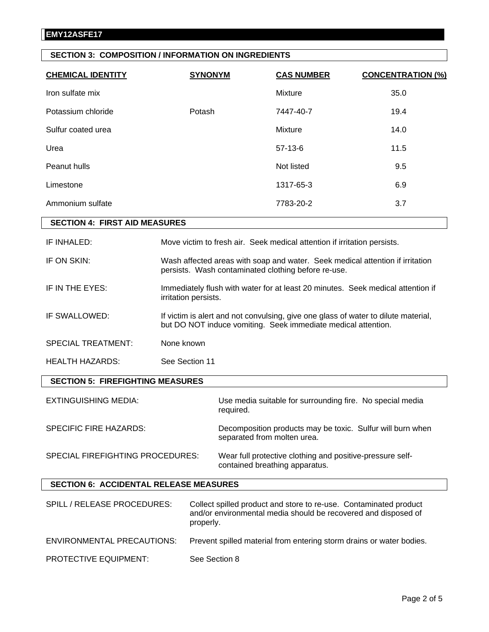# **SECTION 3: COMPOSITION / INFORMATION ON INGREDIENTS**

| <b>CHEMICAL IDENTITY</b>                | <b>SYNONYM</b>       | <b>CAS NUMBER</b>                                                                                                                                   | <b>CONCENTRATION (%)</b> |
|-----------------------------------------|----------------------|-----------------------------------------------------------------------------------------------------------------------------------------------------|--------------------------|
| Iron sulfate mix                        |                      | Mixture                                                                                                                                             | 35.0                     |
| Potassium chloride                      | Potash               | 7447-40-7                                                                                                                                           | 19.4                     |
| Sulfur coated urea                      |                      | Mixture                                                                                                                                             | 14.0                     |
| Urea                                    |                      | $57-13-6$                                                                                                                                           | 11.5                     |
| Peanut hulls                            |                      | Not listed                                                                                                                                          | 9.5                      |
| Limestone                               |                      | 1317-65-3                                                                                                                                           | 6.9                      |
| Ammonium sulfate                        |                      | 7783-20-2                                                                                                                                           | 3.7                      |
| <b>SECTION 4: FIRST AID MEASURES</b>    |                      |                                                                                                                                                     |                          |
| IF INHALED:                             |                      | Move victim to fresh air. Seek medical attention if irritation persists.                                                                            |                          |
| IF ON SKIN:                             |                      | Wash affected areas with soap and water. Seek medical attention if irritation<br>persists. Wash contaminated clothing before re-use.                |                          |
| IF IN THE EYES:                         | irritation persists. | Immediately flush with water for at least 20 minutes. Seek medical attention if                                                                     |                          |
| IF SWALLOWED:                           |                      | If victim is alert and not convulsing, give one glass of water to dilute material,<br>but DO NOT induce vomiting. Seek immediate medical attention. |                          |
| <b>SPECIAL TREATMENT:</b>               | None known           |                                                                                                                                                     |                          |
| HEALTH HAZARDS:                         | See Section 11       |                                                                                                                                                     |                          |
| <b>SECTION 5: FIREFIGHTING MEASURES</b> |                      |                                                                                                                                                     |                          |
| <b>EXTINGUISHING MEDIA:</b>             |                      | Use media suitable for surrounding fire. No special media<br>required.                                                                              |                          |
| <b>SPECIFIC FIRE HAZARDS:</b>           |                      | Decomposition products may be toxic. Sulfur will burn when<br>separated from molten urea.                                                           |                          |
| SPECIAL FIREFIGHTING PROCEDURES:        |                      | Wear full protective clothing and positive-pressure self-<br>contained breathing apparatus.                                                         |                          |

# **SECTION 6: ACCIDENTAL RELEASE MEASURES**

| SPILL / RELEASE PROCEDURES:       | Collect spilled product and store to re-use. Contaminated product<br>and/or environmental media should be recovered and disposed of<br>properly. |
|-----------------------------------|--------------------------------------------------------------------------------------------------------------------------------------------------|
| <b>ENVIRONMENTAL PRECAUTIONS:</b> | Prevent spilled material from entering storm drains or water bodies.                                                                             |
| <b>PROTECTIVE EQUIPMENT:</b>      | See Section 8                                                                                                                                    |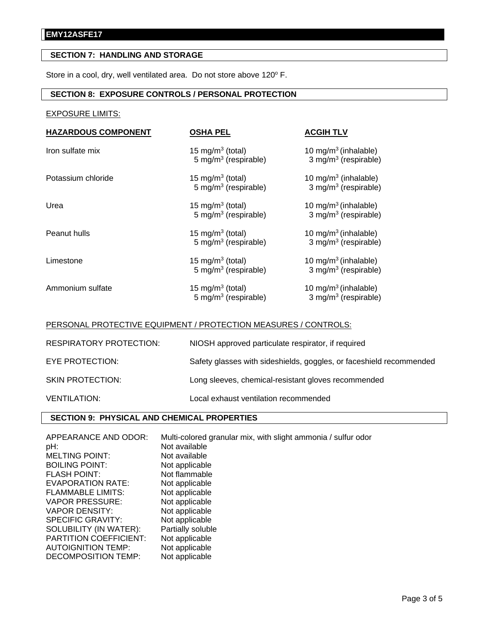# **SECTION 7: HANDLING AND STORAGE**

Store in a cool, dry, well ventilated area. Do not store above 120° F.

# **SECTION 8: EXPOSURE CONTROLS / PERSONAL PROTECTION**

# EXPOSURE LIMITS:

| <b>HAZARDOUS COMPONENT</b> | <b>OSHA PEL</b>                                                  | <b>ACGIH TLV</b>                                                     |
|----------------------------|------------------------------------------------------------------|----------------------------------------------------------------------|
| Iron sulfate mix           | 15 mg/m <sup>3</sup> (total)<br>$5 \text{ mg/m}^3$ (respirable)  | 10 mg/m <sup>3</sup> (inhalable)<br>3 mg/m <sup>3</sup> (respirable) |
| Potassium chloride         | 15 mg/m <sup>3</sup> (total)<br>5 mg/m <sup>3</sup> (respirable) | 10 mg/m <sup>3</sup> (inhalable)<br>3 mg/m <sup>3</sup> (respirable) |
| Urea                       | 15 mg/m <sup>3</sup> (total)<br>5 mg/m <sup>3</sup> (respirable) | 10 mg/m <sup>3</sup> (inhalable)<br>3 mg/m <sup>3</sup> (respirable) |
| Peanut hulls               | 15 mg/m <sup>3</sup> (total)<br>5 mg/m $3$ (respirable)          | 10 mg/m <sup>3</sup> (inhalable)<br>3 mg/m <sup>3</sup> (respirable) |
| Limestone                  | 15 mg/m <sup>3</sup> (total)<br>5 mg/m <sup>3</sup> (respirable) | 10 mg/m <sup>3</sup> (inhalable)<br>3 mg/m <sup>3</sup> (respirable) |
| Ammonium sulfate           | 15 mg/m <sup>3</sup> (total)<br>5 mg/m $3$ (respirable)          | 10 mg/m <sup>3</sup> (inhalable)<br>3 mg/m <sup>3</sup> (respirable) |

#### PERSONAL PROTECTIVE EQUIPMENT / PROTECTION MEASURES / CONTROLS:

| <b>RESPIRATORY PROTECTION:</b> | NIOSH approved particulate respirator, if required                  |
|--------------------------------|---------------------------------------------------------------------|
| EYE PROTECTION:                | Safety glasses with sideshields, goggles, or faceshield recommended |
| <b>SKIN PROTECTION:</b>        | Long sleeves, chemical-resistant gloves recommended                 |
| <b>VENTILATION:</b>            | Local exhaust ventilation recommended                               |

# **SECTION 9: PHYSICAL AND CHEMICAL PROPERTIES**

| APPEARANCE AND ODOR:          | Multi-colored granular mix, with slight ammonia / sulfur odor |
|-------------------------------|---------------------------------------------------------------|
| pH:                           | Not available                                                 |
| <b>MELTING POINT:</b>         | Not available                                                 |
| <b>BOILING POINT:</b>         | Not applicable                                                |
| <b>FLASH POINT:</b>           | Not flammable                                                 |
| EVAPORATION RATE:             | Not applicable                                                |
| <b>FLAMMABLE LIMITS:</b>      | Not applicable                                                |
| VAPOR PRESSURE:               | Not applicable                                                |
| VAPOR DENSITY:                | Not applicable                                                |
| SPECIFIC GRAVITY:             | Not applicable                                                |
| SOLUBILITY (IN WATER):        | Partially soluble                                             |
| <b>PARTITION COEFFICIENT:</b> | Not applicable                                                |
| <b>AUTOIGNITION TEMP:</b>     | Not applicable                                                |
| DECOMPOSITION TEMP:           | Not applicable                                                |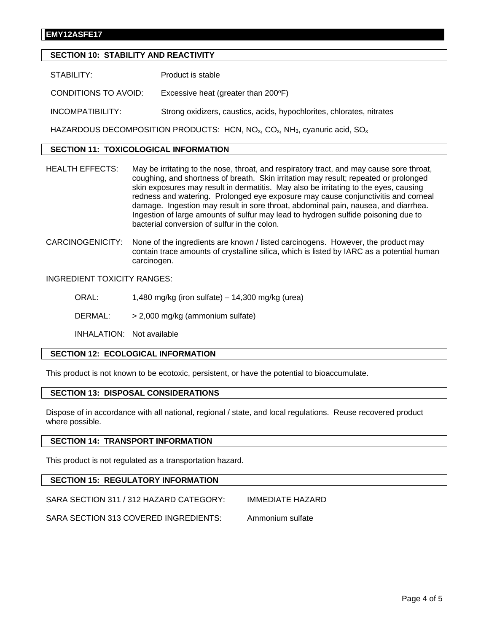### **EMY12ASFE17**

# **SECTION 10: STABILITY AND REACTIVITY**

STABILITY: Product is stable

CONDITIONS TO AVOID: Excessive heat (greater than 200°F)

INCOMPATIBILITY: Strong oxidizers, caustics, acids, hypochlorites, chlorates, nitrates

HAZARDOUS DECOMPOSITION PRODUCTS: HCN,  $NO<sub>x</sub>$ ,  $CO<sub>x</sub>$ , NH<sub>3</sub>, cyanuric acid,  $SO<sub>x</sub>$ 

## **SECTION 11: TOXICOLOGICAL INFORMATION**

- HEALTH EFFECTS: May be irritating to the nose, throat, and respiratory tract, and may cause sore throat, coughing, and shortness of breath. Skin irritation may result; repeated or prolonged skin exposures may result in dermatitis. May also be irritating to the eyes, causing redness and watering. Prolonged eye exposure may cause conjunctivitis and corneal damage. Ingestion may result in sore throat, abdominal pain, nausea, and diarrhea. Ingestion of large amounts of sulfur may lead to hydrogen sulfide poisoning due to bacterial conversion of sulfur in the colon.
- CARCINOGENICITY: None of the ingredients are known / listed carcinogens. However, the product may contain trace amounts of crystalline silica, which is listed by IARC as a potential human carcinogen.

#### INGREDIENT TOXICITY RANGES:

ORAL: 1,480 mg/kg (iron sulfate) – 14,300 mg/kg (urea)

DERMAL: > 2,000 mg/kg (ammonium sulfate)

INHALATION: Not available

### **SECTION 12: ECOLOGICAL INFORMATION**

This product is not known to be ecotoxic, persistent, or have the potential to bioaccumulate.

# **SECTION 13: DISPOSAL CONSIDERATIONS**

Dispose of in accordance with all national, regional / state, and local regulations. Reuse recovered product where possible.

#### **SECTION 14: TRANSPORT INFORMATION**

This product is not regulated as a transportation hazard.

### **SECTION 15: REGULATORY INFORMATION**

SARA SECTION 311 / 312 HAZARD CATEGORY: IMMEDIATE HAZARD

SARA SECTION 313 COVERED INGREDIENTS: Ammonium sulfate